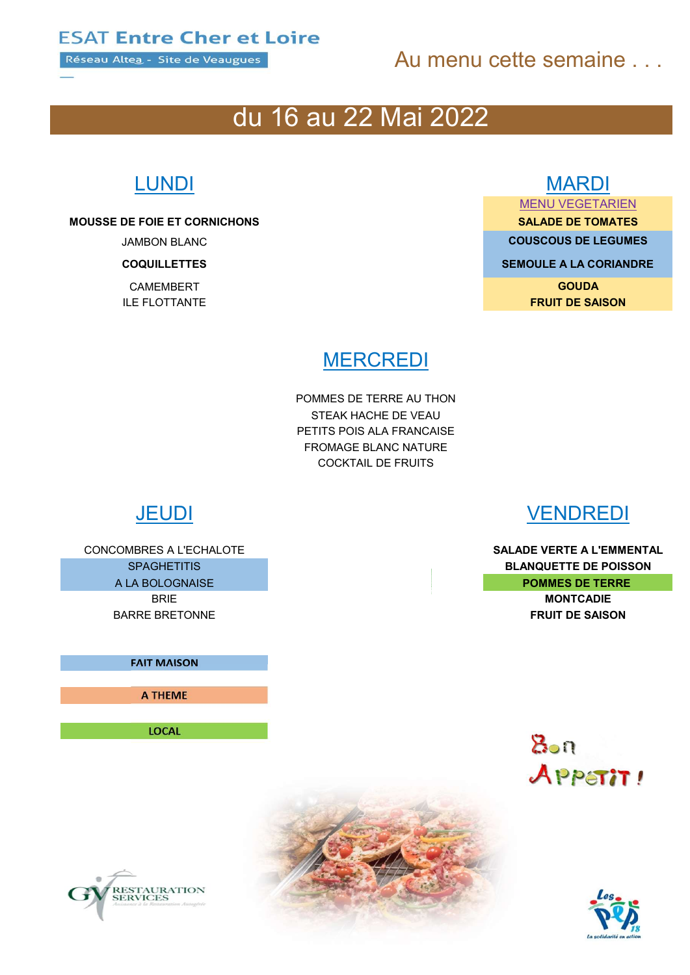Réseau Altea - Site de Veaugues

## Au menu cette semaine

## du 16 au 22 Mai 2022

MOUSSE DE FOIE ET CORNICHONS AND ANNUAL SALADE DE TOMATES

### LUNDI MARDI

MENU VEGETARIEN

**JAMBON BLANC COUSCOUS DE LEGUMES** 

**COQUILLETTES SEMOULE A LA CORIANDRE** 

**CAMEMBERT** GOUDA ILE FLOTTANTE **FRUIT DE SAISON** 

## **MERCREDI**

POMMES DE TERRE AU THON STEAK HACHE DE VEAU PETITS POIS ALA FRANCAISE FROMAGE BLANC NATURE COCKTAIL DE FRUITS

CONCOMBRES A L'ECHALOTE **SALADE VERTE A L'EMMENTAL** BARRE BRETONNE FRUIT DE SAISON

FAIT MAISON

A THEME

LOCAL

## JEUDI VENDREDI

SPAGHETITIS **BLANQUETTE DE POISSON** A LA BOLOGNAISE **POMMES DE TERRE** BRIE **BRIE** MONTCADIE





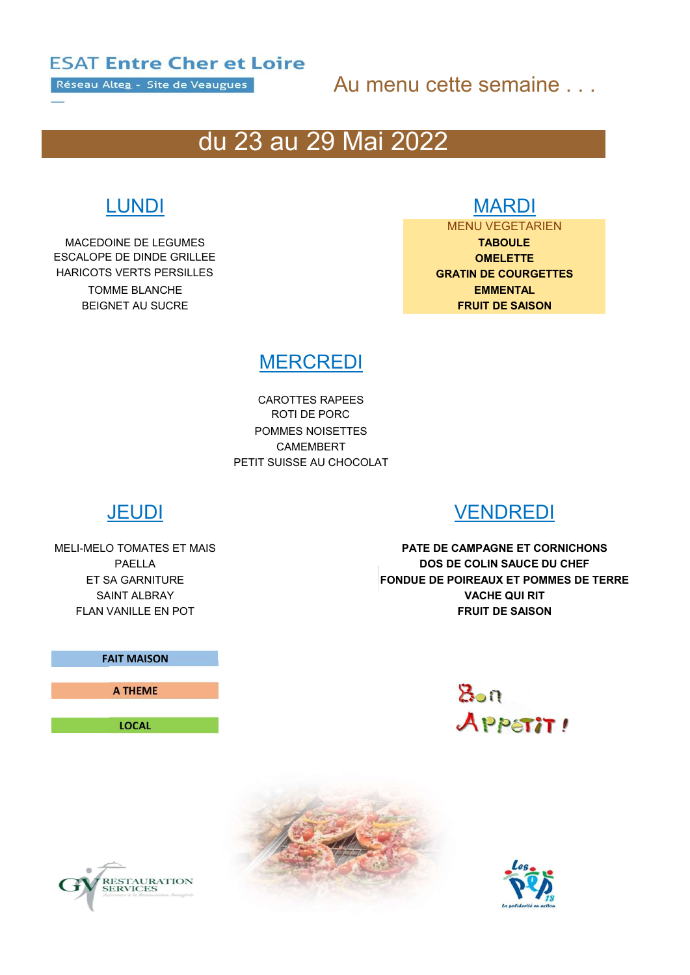Réseau Altea - Site de Veaugues

## Au menu cette semaine . . .

## du 23 au 29 Mai 2022

MACEDOINE DE LEGUMES **TABOULE** ESCALOPE DE DINDE GRILLEE **Australia et al. 1999 CONELETTE HARICOTS VERTS PERSILLES GRATIN DE COURGETTES** TOMME BLANCHE EMMENTAL BEIGNET AU SUCRE FRUIT DE SAISON

## LUNDI MARDI

MENU VEGETARIEN

## **MERCREDI**

CAROTTES RAPEES ROTI DE PORC POMMES NOISETTES CAMEMBERT PETIT SUISSE AU CHOCOLAT



## JEUDI VENDREDI

MELI-MELO TOMATES ET MAIS **EXECUTE EN EXECUTE DE CAMPAGNE ET CORNICHONS** PAELLA DOS DE COLIN SAUCE DU CHEF ET SA GARNITURE FONDUE DE POIREAUX ET POMMES DE TERRE SAINT ALBRAY **VACHE QUI RIT** FLAN VANILLE EN POT **FRUIT DE SAISON** 







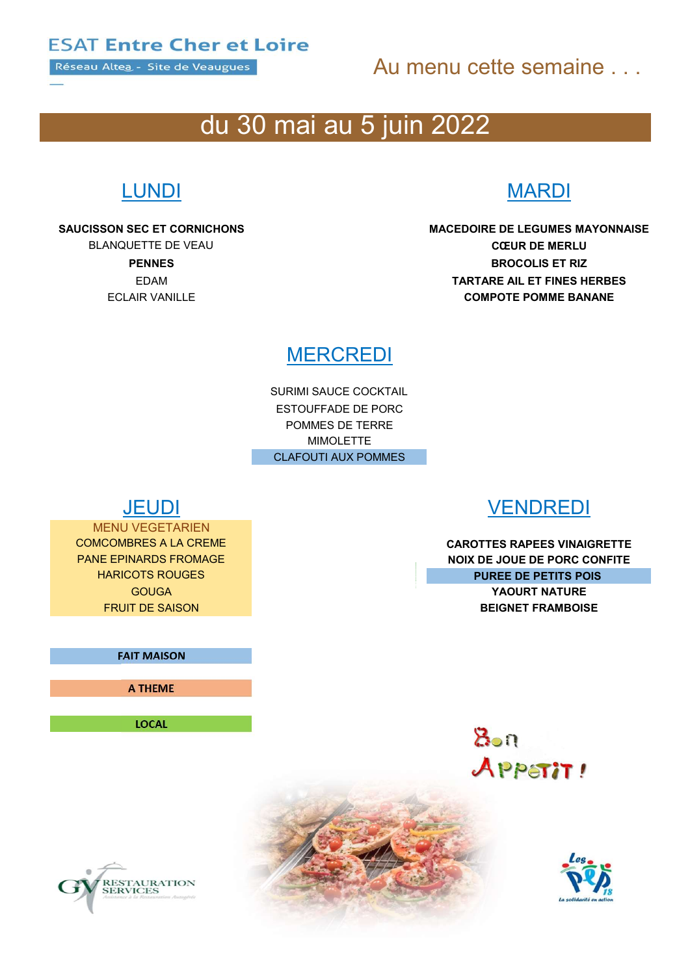Réseau Altea - Site de Veaugues

## Au menu cette semaine . . .

## du 30 mai au 5 juin 2022

## LUNDI MARDI

SAUCISSON SEC ET CORNICHONS MACEDOIRE DE LEGUMES MAYONNAISE BLANQUETTE DE VEAU CEUR DE MERLU PENNES BROCOLIS ET RIZ EDAM TARTARE AIL ET FINES HERBES ECLAIR VANILLE **ECLAIR VANILLE COMPOTE POMME BANANE** 

## **MERCREDI**

SURIMI SAUCE COCKTAIL ESTOUFFADE DE PORC POMMES DE TERRE MIMOLETTE CLAFOUTI AUX POMMES

MENU VEGETARIEN

### FAIT MAISON

A THEME

LOCAL



COMCOMBRES A LA CREME CAROTTES RAPEES VINAIGRETTE PANE EPINARDS FROMAGE NOIX DE JOUE DE PORC CONFITE **HARICOTS ROUGES PUREE DE PETITS POIS** GOUGA YAOURT NATURE **FRUIT DE SAISON BEIGNET FRAMBOISE** 





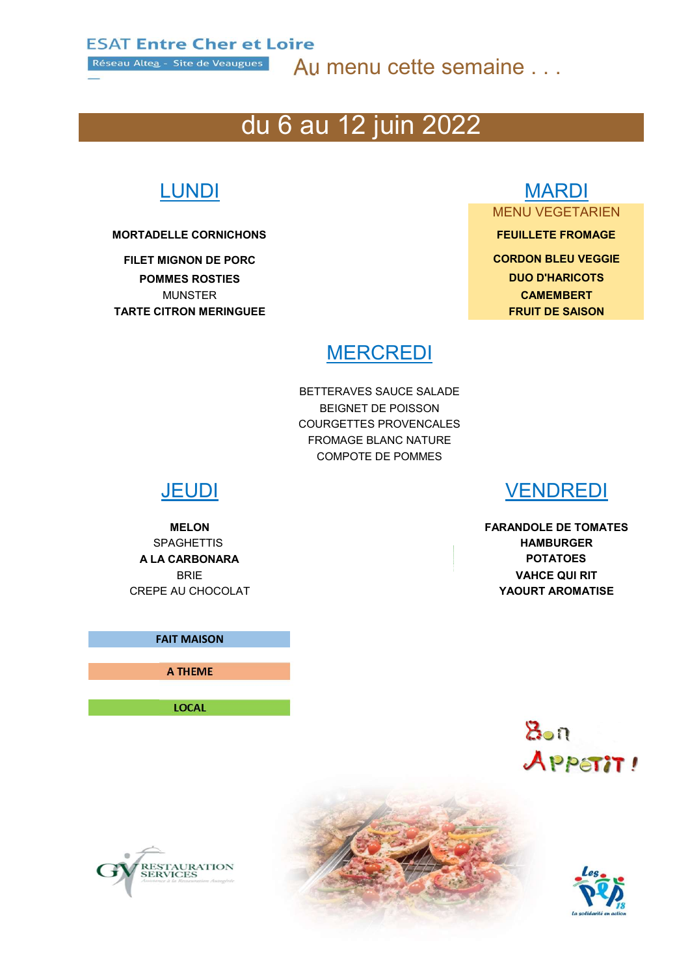Réseau Altea - Site de Veaugues

Au menu cette semaine . . .

## du 6 au 12 juin 2022

### MORTADELLE CORNICHONS FEUILLETE FROMAGE

POMMES ROSTIES DUO D'HARICOTS MUNSTER **CAMEMBERT** TARTE CITRON MERINGUEE FRUIT DE SAISON

# LUNDI MARDI

## MENU VEGETARIEN

FILET MIGNON DE PORC **CORDON BLEU VEGGIE** 

### **MERCREDI**

BETTERAVES SAUCE SALADE BEIGNET DE POISSON COURGETTES PROVENCALES FROMAGE BLANC NATURE COMPOTE DE POMMES

A LA CARBONARA POTATOES

FAIT MAISON

A THEME

LOCAL



MELON FARANDOLE DE TOMATES SPAGHETTIS **HAMBURGER** BRIE **VAHCE QUI RIT** CREPE AU CHOCOLAT **WE CONSIDER A CHOCOLAT CREPE AU CHOCOLAT** 





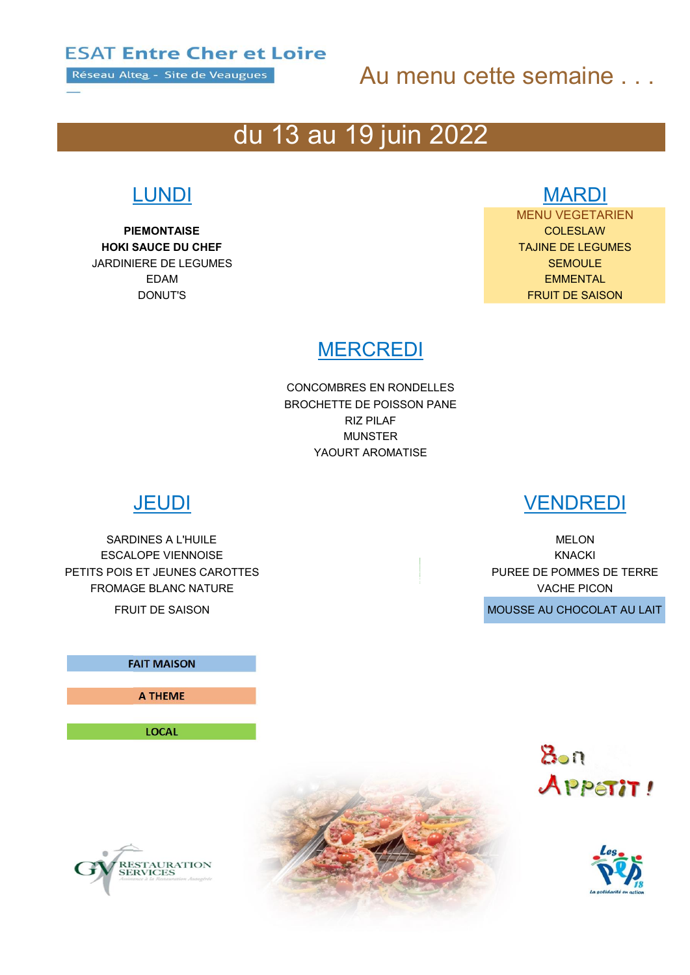Réseau Altea - Site de Veaugues

## Au menu cette semaine . . .

# du 13 au 19 juin 2022

PIEMONTAISE COLESLAW HOKI SAUCE DU CHEF TAJINE DE LEGUMES **JARDINIERE DE LEGUMES** SEMOULE SEMOULE

## LUNDI MARDI

MENU VEGETARIEN EDAM EMMENTAL DONUT'S FRUIT DE SAISON

### **MERCREDI**

CONCOMBRES EN RONDELLES BROCHETTE DE POISSON PANE RIZ PILAF MUNSTER YAOURT AROMATISE

SARDINES A L'HUILE DE LONGIER ET LE CONSTANTINO DE LONGIER DE LONGIER DE LONGIER DE LONGIER DE LONGIER DE LONGIER ESCALOPE VIENNOISE KNACKI PETITS POIS ET JEUNES CAROTTES **EXECUTES** PUREE DE POMMES DE TERRE FROMAGE BLANC NATURE VACHE PICON

## FAIT MAISON A THEME

LOCAL

## JEUDI VENDREDI

FRUIT DE SAISON **MOUSSE AU CHOCOLAT AU LAIT**